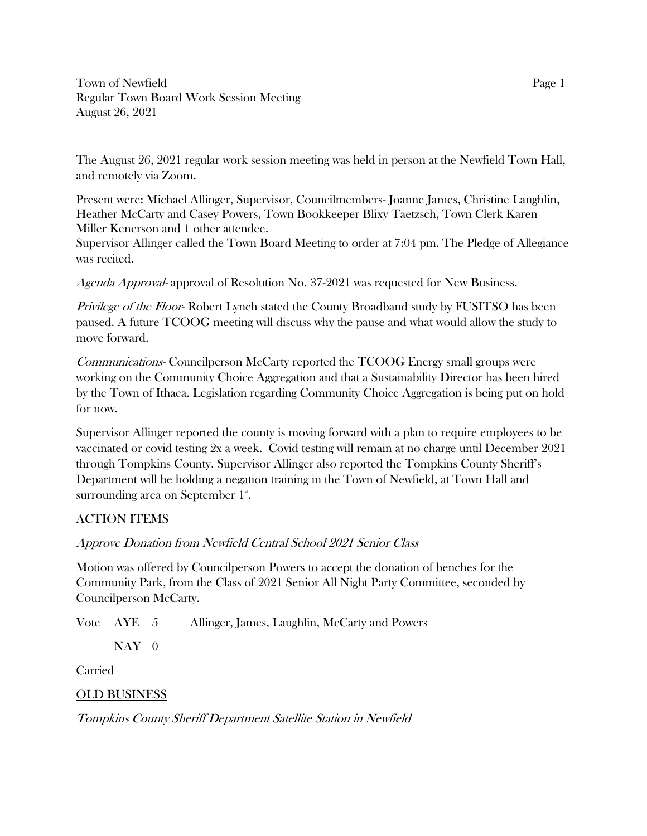Town of Newfield Page 1 Regular Town Board Work Session Meeting August 26, 2021

The August 26, 2021 regular work session meeting was held in person at the Newfield Town Hall, and remotely via Zoom.

Present were: Michael Allinger, Supervisor, Councilmembers- Joanne James, Christine Laughlin, Heather McCarty and Casey Powers, Town Bookkeeper Blixy Taetzsch, Town Clerk Karen Miller Kenerson and 1 other attendee.

Supervisor Allinger called the Town Board Meeting to order at 7:04 pm. The Pledge of Allegiance was recited.

Agenda Approval- approval of Resolution No. 37-2021 was requested for New Business.

Privilege of the Floor-Robert Lynch stated the County Broadband study by FUSITSO has been paused. A future TCOOG meeting will discuss why the pause and what would allow the study to move forward.

Communications- Councilperson McCarty reported the TCOOG Energy small groups were working on the Community Choice Aggregation and that a Sustainability Director has been hired by the Town of Ithaca. Legislation regarding Community Choice Aggregation is being put on hold for now.

Supervisor Allinger reported the county is moving forward with a plan to require employees to be vaccinated or covid testing 2x a week. Covid testing will remain at no charge until December 2021 through Tompkins County. Supervisor Allinger also reported the Tompkins County Sheriff's Department will be holding a negation training in the Town of Newfield, at Town Hall and surrounding area on September  $1^{\mathrm{s}}$ .

## ACTION ITEMS

Approve Donation from Newfield Central School 2021 Senior Class

Motion was offered by Councilperson Powers to accept the donation of benches for the Community Park, from the Class of 2021 Senior All Night Party Committee, seconded by Councilperson McCarty.

Vote AYE 5 Allinger, James, Laughlin, McCarty and Powers

 $NAY$  0

Carried

OLD BUSINESS

Tompkins County Sheriff Department Satellite Station in Newfield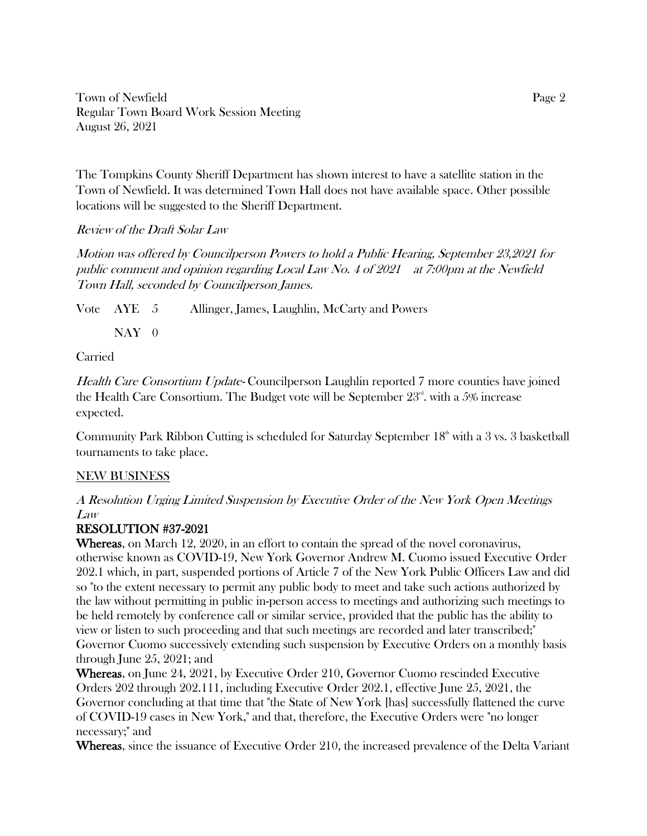Town of Newfield Page 2 Regular Town Board Work Session Meeting August 26, 2021

The Tompkins County Sheriff Department has shown interest to have a satellite station in the Town of Newfield. It was determined Town Hall does not have available space. Other possible locations will be suggested to the Sheriff Department.

Review of the Draft Solar Law

Motion was offered by Councilperson Powers to hold a Public Hearing, September 23,2021 for public comment and opinion regarding Local Law No. 4 of 2021 at 7:00pm at the Newfield Town Hall, seconded by Councilperson James.

Vote AYE 5 Allinger, James, Laughlin, McCarty and Powers

 $NAY$  0

Carried

Health Care Consortium Update- Councilperson Laughlin reported 7 more counties have joined the Health Care Consortium. The Budget vote will be September  $23<sup>nd</sup>$ , with a 5% increase expected.

Community Park Ribbon Cutting is scheduled for Saturday September  $18<sup>th</sup>$  with a 3 vs. 3 basketball tournaments to take place.

## NEW BUSINESS

A Resolution Urging Limited Suspension by Executive Order of the New York Open Meetings Law

## RESOLUTION #37-2021

Whereas, on March 12, 2020, in an effort to contain the spread of the novel coronavirus, otherwise known as COVID-19, New York Governor Andrew M. Cuomo issued Executive Order 202.1 which, in part, suspended portions of Article 7 of the New York Public Officers Law and did so "to the extent necessary to permit any public body to meet and take such actions authorized by the law without permitting in public in-person access to meetings and authorizing such meetings to be held remotely by conference call or similar service, provided that the public has the ability to view or listen to such proceeding and that such meetings are recorded and later transcribed;" Governor Cuomo successively extending such suspension by Executive Orders on a monthly basis through June 25, 2021; and

Whereas, on June 24, 2021, by Executive Order 210, Governor Cuomo rescinded Executive Orders 202 through 202.111, including Executive Order 202.1, effective June 25, 2021, the Governor concluding at that time that "the State of New York [has] successfully flattened the curve of COVID-19 cases in New York," and that, therefore, the Executive Orders were "no longer necessary;" and

Whereas, since the issuance of Executive Order 210, the increased prevalence of the Delta Variant